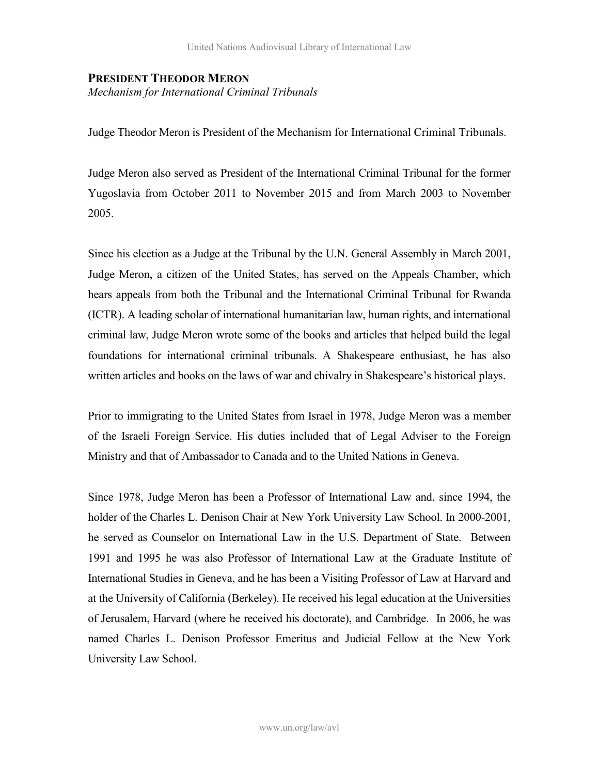## **PRESIDENT THEODOR MERON**

*Mechanism for International Criminal Tribunals* 

Judge Theodor Meron is President of the Mechanism for International Criminal Tribunals.

Judge Meron also served as President of the International Criminal Tribunal for the former Yugoslavia from October 2011 to November 2015 and from March 2003 to November 2005.

Since his election as a Judge at the Tribunal by the U.N. General Assembly in March 2001, Judge Meron, a citizen of the United States, has served on the Appeals Chamber, which hears appeals from both the Tribunal and the International Criminal Tribunal for Rwanda (ICTR). A leading scholar of international humanitarian law, human rights, and international criminal law, Judge Meron wrote some of the books and articles that helped build the legal foundations for international criminal tribunals. A Shakespeare enthusiast, he has also written articles and books on the laws of war and chivalry in Shakespeare's historical plays.

Prior to immigrating to the United States from Israel in 1978, Judge Meron was a member of the Israeli Foreign Service. His duties included that of Legal Adviser to the Foreign Ministry and that of Ambassador to Canada and to the United Nations in Geneva.

Since 1978, Judge Meron has been a Professor of International Law and, since 1994, the holder of the Charles L. Denison Chair at New York University Law School. In 2000-2001, he served as Counselor on International Law in the U.S. Department of State. Between 1991 and 1995 he was also Professor of International Law at the Graduate Institute of International Studies in Geneva, and he has been a Visiting Professor of Law at Harvard and at the University of California (Berkeley). He received his legal education at the Universities of Jerusalem, Harvard (where he received his doctorate), and Cambridge. In 2006, he was named Charles L. Denison Professor Emeritus and Judicial Fellow at the New York University Law School.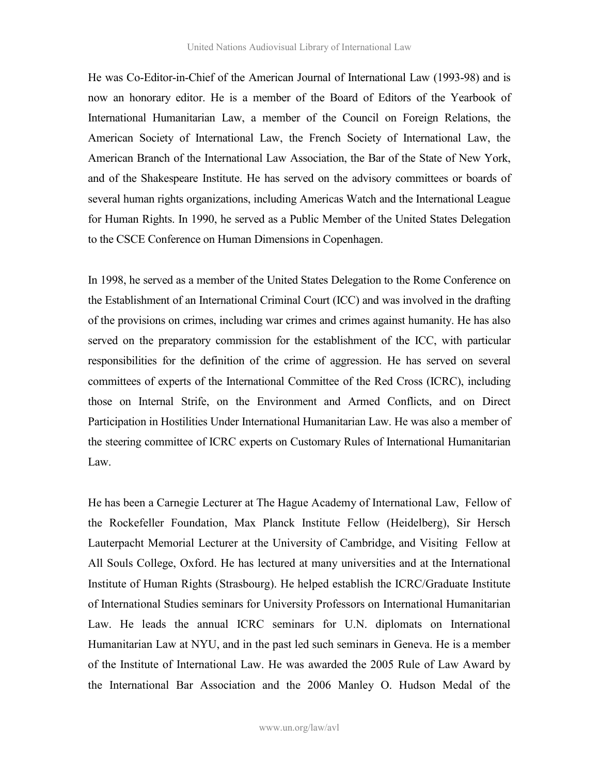He was Co-Editor-in-Chief of the American Journal of International Law (1993-98) and is now an honorary editor. He is a member of the Board of Editors of the Yearbook of International Humanitarian Law, a member of the Council on Foreign Relations, the American Society of International Law, the French Society of International Law, the American Branch of the International Law Association, the Bar of the State of New York, and of the Shakespeare Institute. He has served on the advisory committees or boards of several human rights organizations, including Americas Watch and the International League for Human Rights. In 1990, he served as a Public Member of the United States Delegation to the CSCE Conference on Human Dimensions in Copenhagen.

In 1998, he served as a member of the United States Delegation to the Rome Conference on the Establishment of an International Criminal Court (ICC) and was involved in the drafting of the provisions on crimes, including war crimes and crimes against humanity. He has also served on the preparatory commission for the establishment of the ICC, with particular responsibilities for the definition of the crime of aggression. He has served on several committees of experts of the International Committee of the Red Cross (ICRC), including those on Internal Strife, on the Environment and Armed Conflicts, and on Direct Participation in Hostilities Under International Humanitarian Law. He was also a member of the steering committee of ICRC experts on Customary Rules of International Humanitarian Law.

He has been a Carnegie Lecturer at The Hague Academy of International Law, Fellow of the Rockefeller Foundation, Max Planck Institute Fellow (Heidelberg), Sir Hersch Lauterpacht Memorial Lecturer at the University of Cambridge, and Visiting Fellow at All Souls College, Oxford. He has lectured at many universities and at the International Institute of Human Rights (Strasbourg). He helped establish the ICRC/Graduate Institute of International Studies seminars for University Professors on International Humanitarian Law. He leads the annual ICRC seminars for U.N. diplomats on International Humanitarian Law at NYU, and in the past led such seminars in Geneva. He is a member of the Institute of International Law. He was awarded the 2005 Rule of Law Award by the International Bar Association and the 2006 Manley O. Hudson Medal of the